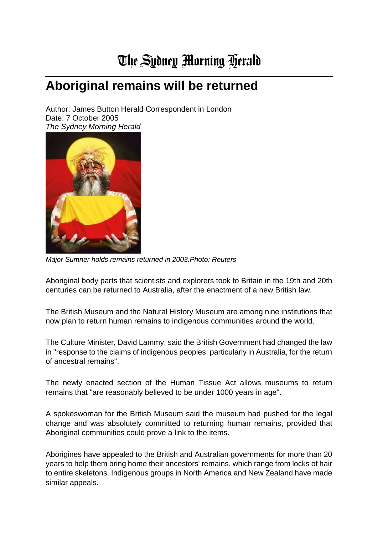## **Aboriginal remains will be returned**

Author: James Button Herald Correspondent in London Date: 7 October 2005 *The Sydney Morning Herald*



*Major Sumner holds remains returned in 2003.Photo: Reuters*

Aboriginal body parts that scientists and explorers took to Britain in the 19th and 20th centuries can be returned to Australia, after the enactment of a new British law.

The British Museum and the Natural History Museum are among nine institutions that now plan to return human remains to indigenous communities around the world.

The Culture Minister, David Lammy, said the British Government had changed the law in "response to the claims of indigenous peoples, particularly in Australia, for the return of ancestral remains".

The newly enacted section of the Human Tissue Act allows museums to return remains that "are reasonably believed to be under 1000 years in age".

A spokeswoman for the British Museum said the museum had pushed for the legal change and was absolutely committed to returning human remains, provided that Aboriginal communities could prove a link to the items.

Aborigines have appealed to the British and Australian governments for more than 20 years to help them bring home their ancestors' remains, which range from locks of hair to entire skeletons. Indigenous groups in North America and New Zealand have made similar appeals.